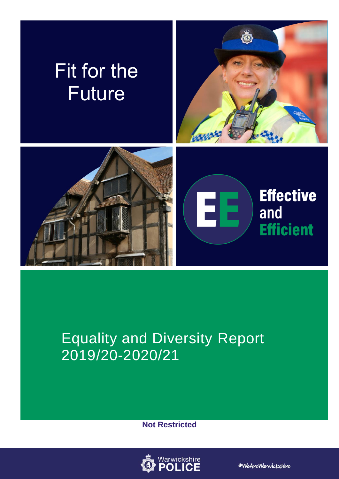

# Equality and Diversity Report 2019/20-2020/21

**Not Restricted**



#WeAreWarwickshire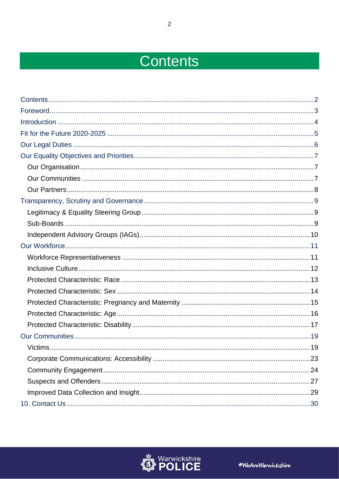# <span id="page-1-0"></span>Contents

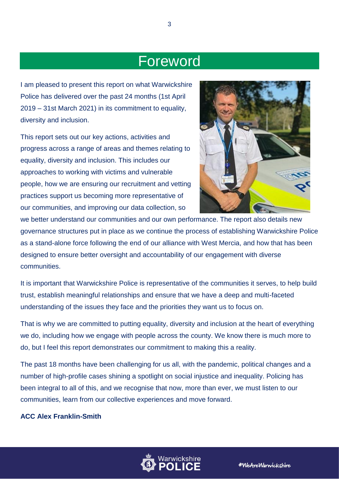## <span id="page-2-0"></span>Foreword

I am pleased to present this report on what Warwickshire Police has delivered over the past 24 months (1st April 2019 – 31st March 2021) in its commitment to equality, diversity and inclusion.

This report sets out our key actions, activities and progress across a range of areas and themes relating to equality, diversity and inclusion. This includes our approaches to working with victims and vulnerable people, how we are ensuring our recruitment and vetting practices support us becoming more representative of our communities, and improving our data collection, so



we better understand our communities and our own performance. The report also details new governance structures put in place as we continue the process of establishing Warwickshire Police as a stand-alone force following the end of our alliance with West Mercia, and how that has been designed to ensure better oversight and accountability of our engagement with diverse communities.

It is important that Warwickshire Police is representative of the communities it serves, to help build trust, establish meaningful relationships and ensure that we have a deep and multi-faceted understanding of the issues they face and the priorities they want us to focus on.

That is why we are committed to putting equality, diversity and inclusion at the heart of everything we do, including how we engage with people across the county. We know there is much more to do, but I feel this report demonstrates our commitment to making this a reality.

The past 18 months have been challenging for us all, with the pandemic, political changes and a number of high-profile cases shining a spotlight on social injustice and inequality. Policing has been integral to all of this, and we recognise that now, more than ever, we must listen to our communities, learn from our collective experiences and move forward.

### **ACC Alex Franklin-Smith**

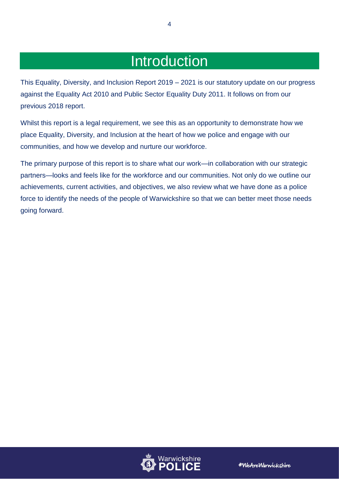## Introduction

<span id="page-3-0"></span>This Equality, Diversity, and Inclusion Report 2019 – 2021 is our statutory update on our progress against the Equality Act 2010 and Public Sector Equality Duty 2011. It follows on from our previous 2018 report.

Whilst this report is a legal requirement, we see this as an opportunity to demonstrate how we place Equality, Diversity, and Inclusion at the heart of how we police and engage with our communities, and how we develop and nurture our workforce.

The primary purpose of this report is to share what our work—in collaboration with our strategic partners—looks and feels like for the workforce and our communities. Not only do we outline our achievements, current activities, and objectives, we also review what we have done as a police force to identify the needs of the people of Warwickshire so that we can better meet those needs going forward.

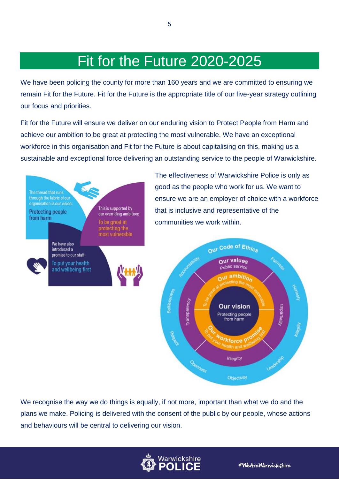## Fit for the Future 2020-2025

5

<span id="page-4-0"></span>We have been policing the county for more than 160 years and we are committed to ensuring we remain Fit for the Future. Fit for the Future is the appropriate title of our five-year strategy outlining our focus and priorities.

Fit for the Future will ensure we deliver on our enduring vision to Protect People from Harm and achieve our ambition to be great at protecting the most vulnerable. We have an exceptional workforce in this organisation and Fit for the Future is about capitalising on this, making us a sustainable and exceptional force delivering an outstanding service to the people of Warwickshire.



We recognise the way we do things is equally, if not more, important than what we do and the plans we make. Policing is delivered with the consent of the public by our people, whose actions and behaviours will be central to delivering our vision.

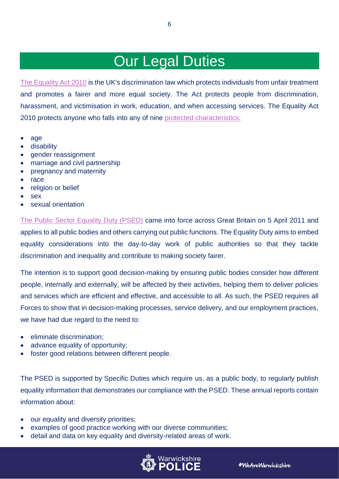## Our Legal Duties

6

<span id="page-5-0"></span>[The Equality Act 2010](https://www.equalityhumanrights.com/en/equality-act/equality-act-2010) is the UK's discrimination law which protects individuals from unfair treatment and promotes a fairer and more equal society. The Act protects people from discrimination, harassment, and victimisation in work, education, and when accessing services. The Equality Act 2010 protects anyone who falls into any of nine [protected characteristics:](https://www.equalityhumanrights.com/en/equality-act/protected-characteristics)

- age
- disability
- gender reassignment
- marriage and civil partnership
- pregnancy and maternity
- race
- religion or belief
- sex
- sexual orientation

[The Public Sector Equality Duty \(PSED\)](https://www.equalityhumanrights.com/en/advice-and-guidance/public-sector-equality-duty) came into force across Great Britain on 5 April 2011 and applies to all public bodies and others carrying out public functions. The Equality Duty aims to embed equality considerations into the day-to-day work of public authorities so that they tackle discrimination and inequality and contribute to making society fairer.

The intention is to support good decision-making by ensuring public bodies consider how different people, internally and externally, will be affected by their activities, helping them to deliver policies and services which are efficient and effective, and accessible to all. As such, the PSED requires all Forces to show that in decision-making processes, service delivery, and our employment practices, we have had due regard to the need to:

- eliminate discrimination;
- advance equality of opportunity;
- foster good relations between different people.

The PSED is supported by Specific Duties which require us, as a public body, to regularly publish equality information that demonstrates our compliance with the PSED. These annual reports contain information about:

- our equality and diversity priorities;
- examples of good practice working with our diverse communities;
- detail and data on key equality and diversity-related areas of work.

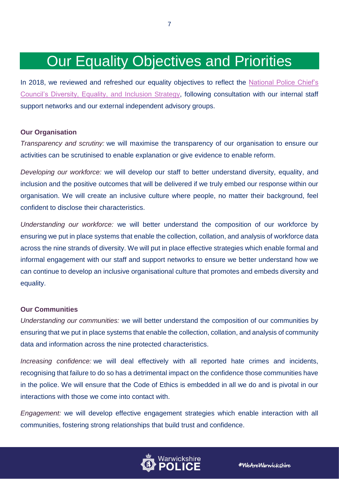## Our Equality Objectives and Priorities

<span id="page-6-0"></span>In 2018, we reviewed and refreshed our equality objectives to reflect the [National Police Chief's](https://www.npcc.police.uk/documents/edhr/2018/NPCC%20Diversity%20Equality%20Inclusion%20Strategy%20May%202018.pdf)  [Council's Diversity, Equality,](https://www.npcc.police.uk/documents/edhr/2018/NPCC%20Diversity%20Equality%20Inclusion%20Strategy%20May%202018.pdf) and Inclusion Strategy, following consultation with our internal staff support networks and our external independent advisory groups.

### <span id="page-6-1"></span>**Our Organisation**

*Transparency and scrutiny:* we will maximise the transparency of our organisation to ensure our activities can be scrutinised to enable explanation or give evidence to enable reform.

*Developing our workforce:* we will develop our staff to better understand diversity, equality, and inclusion and the positive outcomes that will be delivered if we truly embed our response within our organisation. We will create an inclusive culture where people, no matter their background, feel confident to disclose their characteristics.

*Understanding our workforce:* we will better understand the composition of our workforce by ensuring we put in place systems that enable the collection, collation, and analysis of workforce data across the nine strands of diversity. We will put in place effective strategies which enable formal and informal engagement with our staff and support networks to ensure we better understand how we can continue to develop an inclusive organisational culture that promotes and embeds diversity and equality.

## <span id="page-6-2"></span>**Our Communities**

*Understanding our communities:* we will better understand the composition of our communities by ensuring that we put in place systems that enable the collection, collation, and analysis of community data and information across the nine protected characteristics.

*Increasing confidence:* we will deal effectively with all reported hate crimes and incidents, recognising that failure to do so has a detrimental impact on the confidence those communities have in the police. We will ensure that the Code of Ethics is embedded in all we do and is pivotal in our interactions with those we come into contact with.

*Engagement:* we will develop effective engagement strategies which enable interaction with all communities, fostering strong relationships that build trust and confidence.

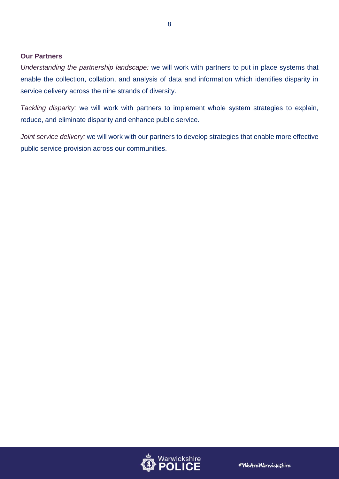### <span id="page-7-0"></span>**Our Partners**

*Understanding the partnership landscape:* we will work with partners to put in place systems that enable the collection, collation, and analysis of data and information which identifies disparity in service delivery across the nine strands of diversity.

*Tackling disparity:* we will work with partners to implement whole system strategies to explain, reduce, and eliminate disparity and enhance public service.

*Joint service delivery:* we will work with our partners to develop strategies that enable more effective public service provision across our communities.



8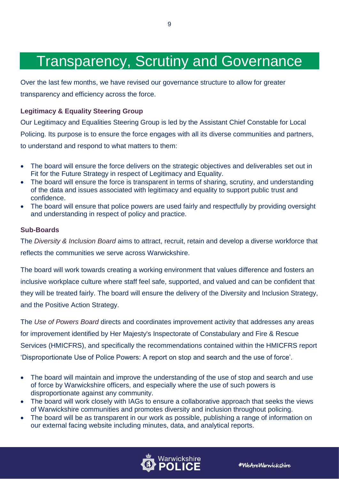## <span id="page-8-0"></span>Transparency, Scrutiny and Governance

9

Over the last few months, we have revised our governance structure to allow for greater transparency and efficiency across the force.

## <span id="page-8-1"></span>**Legitimacy & Equality Steering Group**

Our Legitimacy and Equalities Steering Group is led by the Assistant Chief Constable for Local Policing. Its purpose is to ensure the force engages with all its diverse communities and partners, to understand and respond to what matters to them:

- The board will ensure the force delivers on the strategic objectives and deliverables set out in Fit for the Future Strategy in respect of Legitimacy and Equality.
- The board will ensure the force is transparent in terms of sharing, scrutiny, and understanding of the data and issues associated with legitimacy and equality to support public trust and confidence.
- The board will ensure that police powers are used fairly and respectfully by providing oversight and understanding in respect of policy and practice.

## <span id="page-8-2"></span>**Sub-Boards**

The *Diversity & Inclusion Board* aims to attract, recruit, retain and develop a diverse workforce that reflects the communities we serve across Warwickshire.

The board will work towards creating a working environment that values difference and fosters an inclusive workplace culture where staff feel safe, supported, and valued and can be confident that they will be treated fairly. The board will ensure the delivery of the Diversity and Inclusion Strategy, and the Positive Action Strategy.

The *Use of Powers Board* directs and coordinates improvement activity that addresses any areas for improvement identified by Her Majesty's Inspectorate of Constabulary and Fire & Rescue Services (HMICFRS), and specifically the recommendations contained within the HMICFRS report 'Disproportionate Use of Police Powers: A report on stop and search and the use of force'.

- The board will maintain and improve the understanding of the use of stop and search and use of force by Warwickshire officers, and especially where the use of such powers is disproportionate against any community.
- The board will work closely with IAGs to ensure a collaborative approach that seeks the views of Warwickshire communities and promotes diversity and inclusion throughout policing.
- The board will be as transparent in our work as possible, publishing a range of information on our external facing website including minutes, data, and analytical reports.



#WeAreWarnickshire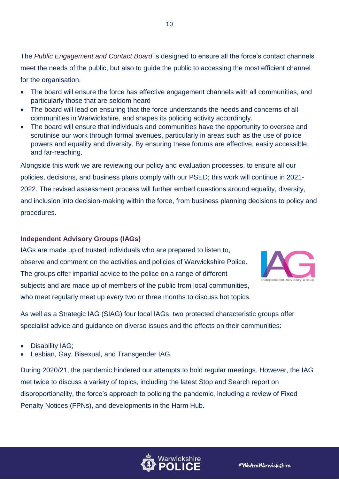The *Public Engagement and Contact Board* is designed to ensure all the force's contact channels meet the needs of the public, but also to quide the public to accessing the most efficient channel for the organisation.

10

- The board will ensure the force has effective engagement channels with all communities, and particularly those that are seldom heard
- The board will lead on ensuring that the force understands the needs and concerns of all communities in Warwickshire, and shapes its policing activity accordingly.
- The board will ensure that individuals and communities have the opportunity to oversee and scrutinise our work through formal avenues, particularly in areas such as the use of police powers and equality and diversity. By ensuring these forums are effective, easily accessible, and far-reaching.

Alongside this work we are reviewing our policy and evaluation processes, to ensure all our policies, decisions, and business plans comply with our PSED; this work will continue in 2021- 2022. The revised assessment process will further embed questions around equality, diversity, and inclusion into decision-making within the force, from business planning decisions to policy and procedures.

## <span id="page-9-0"></span>**Independent Advisory Groups (IAGs)**

IAGs are made up of trusted individuals who are prepared to listen to, observe and comment on the activities and policies of Warwickshire Police. The groups offer impartial advice to the police on a range of different subjects and are made up of members of the public from local communities, who meet regularly meet up every two or three months to discuss hot topics.



As well as a Strategic IAG (SIAG) four local IAGs, two protected characteristic groups offer specialist advice and guidance on diverse issues and the effects on their communities:

- Disability IAG;
- Lesbian, Gay, Bisexual, and Transgender IAG.

During 2020/21, the pandemic hindered our attempts to hold regular meetings. However, the IAG met twice to discuss a variety of topics, including the latest Stop and Search report on disproportionality, the force's approach to policing the pandemic, including a review of Fixed Penalty Notices (FPNs), and developments in the Harm Hub.

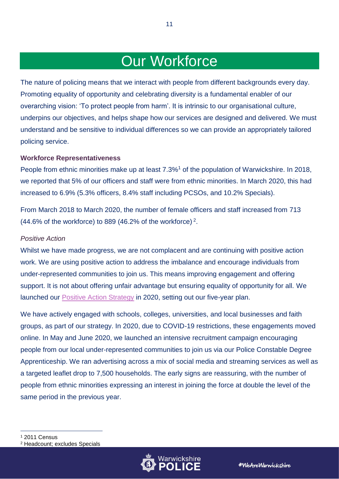## Our Workforce

11

<span id="page-10-0"></span>The nature of policing means that we interact with people from different backgrounds every day. Promoting equality of opportunity and celebrating diversity is a fundamental enabler of our overarching vision: 'To protect people from harm'. It is intrinsic to our organisational culture, underpins our objectives, and helps shape how our services are designed and delivered. We must understand and be sensitive to individual differences so we can provide an appropriately tailored policing service.

### <span id="page-10-1"></span>**Workforce Representativeness**

People from ethnic minorities make up at least 7.3%<sup>1</sup> of the population of Warwickshire. In 2018, we reported that 5% of our officers and staff were from ethnic minorities. In March 2020, this had increased to 6.9% (5.3% officers, 8.4% staff including PCSOs, and 10.2% Specials).

From March 2018 to March 2020, the number of female officers and staff increased from 713  $(44.6\%$  of the workforce) to 889 (46.2% of the workforce)<sup>2</sup>.

## *Positive Action*

Whilst we have made progress, we are not complacent and are continuing with positive action work. We are using positive action to address the imbalance and encourage individuals from under-represented communities to join us. This means improving engagement and offering support. It is not about offering unfair advantage but ensuring equality of opportunity for all. We launched our [Positive Action Strategy](https://www.warwickshire.police.uk/SysSiteAssets/media/downloads/warwickshire/about-us/equality-and-diversity/positive-action-strategy-2020-2025.pdf) in 2020, setting out our five-year plan.

We have actively engaged with schools, colleges, universities, and local businesses and faith groups, as part of our strategy. In 2020, due to COVID-19 restrictions, these engagements moved online. In May and June 2020, we launched an intensive recruitment campaign encouraging people from our local under-represented communities to join us via our Police Constable Degree Apprenticeship. We ran advertising across a mix of social media and streaming services as well as a targeted leaflet drop to 7,500 households. The early signs are reassuring, with the number of people from ethnic minorities expressing an interest in joining the force at double the level of the same period in the previous year.

<sup>1</sup> 2011 Census <sup>2</sup> Headcount; excludes Specials

-

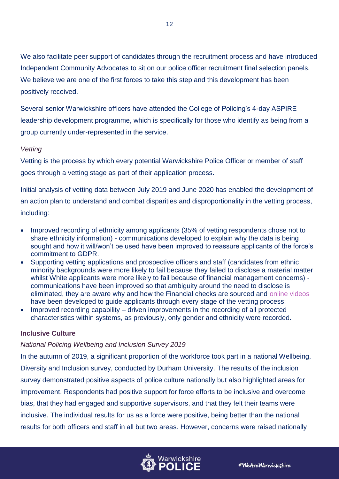We also facilitate peer support of candidates through the recruitment process and have introduced Independent Community Advocates to sit on our police officer recruitment final selection panels. We believe we are one of the first forces to take this step and this development has been positively received.

Several senior Warwickshire officers have attended the College of Policing's 4-day ASPIRE leadership development programme, which is specifically for those who identify as being from a group currently under-represented in the service.

## *Vetting*

Vetting is the process by which every potential Warwickshire Police Officer or member of staff goes through a vetting stage as part of their application process.

Initial analysis of vetting data between July 2019 and June 2020 has enabled the development of an action plan to understand and combat disparities and disproportionality in the vetting process, including:

- Improved recording of ethnicity among applicants (35% of vetting respondents chose not to share ethnicity information) - communications developed to explain why the data is being sought and how it will/won't be used have been improved to reassure applicants of the force's commitment to GDPR.
- Supporting vetting applications and prospective officers and staff (candidates from ethnic minority backgrounds were more likely to fail because they failed to disclose a material matter whilst White applicants were more likely to fail because of financial management concerns) communications have been improved so that ambiguity around the need to disclose is eliminated, they are aware why and how the Financial checks are sourced and [online videos](https://www.warwickshire.police.uk/police-forces/warwickshire-police/areas/warwickshire-police/about-us/about-us/national-contractors-vetting-scheme/vetting-application---video-guides/) have been developed to guide applicants through every stage of the vetting process;
- Improved recording capability driven improvements in the recording of all protected characteristics within systems, as previously, only gender and ethnicity were recorded.

## <span id="page-11-0"></span>**Inclusive Culture**

## *National Policing Wellbeing and Inclusion Survey 2019*

In the autumn of 2019, a significant proportion of the workforce took part in a national Wellbeing, Diversity and Inclusion survey, conducted by Durham University. The results of the inclusion survey demonstrated positive aspects of police culture nationally but also highlighted areas for improvement. Respondents had positive support for force efforts to be inclusive and overcome bias, that they had engaged and supportive supervisors, and that they felt their teams were inclusive. The individual results for us as a force were positive, being better than the national results for both officers and staff in all but two areas. However, concerns were raised nationally

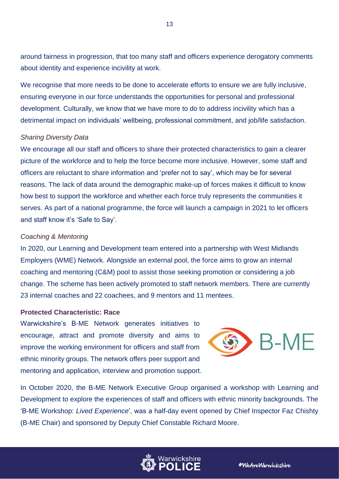around fairness in progression, that too many staff and officers experience derogatory comments about identity and experience incivility at work.

13

We recognise that more needs to be done to accelerate efforts to ensure we are fully inclusive, ensuring everyone in our force understands the opportunities for personal and professional development. Culturally, we know that we have more to do to address incivility which has a detrimental impact on individuals' wellbeing, professional commitment, and job/life satisfaction.

#### *Sharing Diversity Data*

We encourage all our staff and officers to share their protected characteristics to gain a clearer picture of the workforce and to help the force become more inclusive. However, some staff and officers are reluctant to share information and 'prefer not to say', which may be for several reasons. The lack of data around the demographic make-up of forces makes it difficult to know how best to support the workforce and whether each force truly represents the communities it serves. As part of a national programme, the force will launch a campaign in 2021 to let officers and staff know it's 'Safe to Say'.

#### *Coaching & Mentoring*

In 2020, our Learning and Development team entered into a partnership with West Midlands Employers (WME) Network. Alongside an external pool, the force aims to grow an internal coaching and mentoring (C&M) pool to assist those seeking promotion or considering a job change. The scheme has been actively promoted to staff network members. There are currently 23 internal coaches and 22 coachees, and 9 mentors and 11 mentees.

#### <span id="page-12-0"></span>**Protected Characteristic: Race**

Warwickshire's B-ME Network generates initiatives to encourage, attract and promote diversity and aims to improve the working environment for officers and staff from ethnic minority groups. The network offers peer support and mentoring and application, interview and promotion support.



In October 2020, the B-ME Network Executive Group organised a workshop with Learning and Development to explore the experiences of staff and officers with ethnic minority backgrounds. The 'B-ME Workshop: *Lived Experience*', was a half-day event opened by Chief Inspector Faz Chishty (B-ME Chair) and sponsored by Deputy Chief Constable Richard Moore.



#WeAreWarwickshire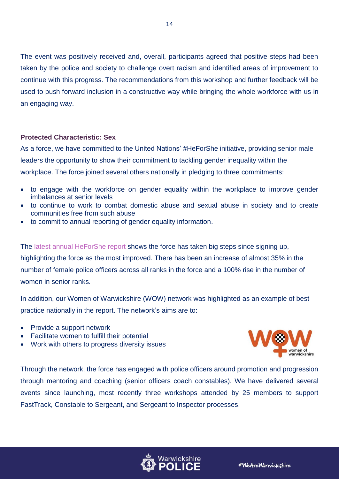The event was positively received and, overall, participants agreed that positive steps had been taken by the police and society to challenge overt racism and identified areas of improvement to continue with this progress. The recommendations from this workshop and further feedback will be used to push forward inclusion in a constructive way while bringing the whole workforce with us in an engaging way.

### <span id="page-13-0"></span>**Protected Characteristic: Sex**

As a force, we have committed to the United Nations' #HeForShe initiative, providing senior male leaders the opportunity to show their commitment to tackling gender inequality within the workplace. The force joined several others nationally in pledging to three commitments:

- to engage with the workforce on gender equality within the workplace to improve gender imbalances at senior levels
- to continue to work to combat domestic abuse and sexual abuse in society and to create communities free from such abuse
- to commit to annual reporting of gender equality information.

The [latest annual HeForShe report](https://www.heforshe.org/sites/default/files/2021-02/15369_C%20Sussex%20Police%20HeforShe%20Annual%20Report_9A.pdf) shows the force has taken big steps since signing up, highlighting the force as the most improved. There has been an increase of almost 35% in the number of female police officers across all ranks in the force and a 100% rise in the number of women in senior ranks.

In addition, our Women of Warwickshire (WOW) network was highlighted as an example of best practice nationally in the report. The network's aims are to:

- Provide a support network
- Facilitate women to fulfill their potential
- Work with others to progress diversity issues



Through the network, the force has engaged with police officers around promotion and progression through mentoring and coaching (senior officers coach constables). We have delivered several events since launching, most recently three workshops attended by 25 members to support FastTrack, Constable to Sergeant, and Sergeant to Inspector processes.

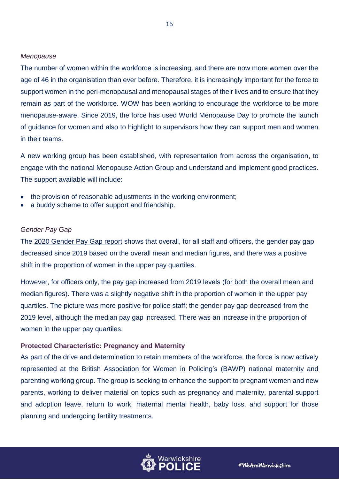#### *Menopause*

The number of women within the workforce is increasing, and there are now more women over the age of 46 in the organisation than ever before. Therefore, it is increasingly important for the force to support women in the peri-menopausal and menopausal stages of their lives and to ensure that they remain as part of the workforce. WOW has been working to encourage the workforce to be more menopause-aware. Since 2019, the force has used World Menopause Day to promote the launch of guidance for women and also to highlight to supervisors how they can support men and women in their teams.

A new working group has been established, with representation from across the organisation, to engage with the national Menopause Action Group and understand and implement good practices. The support available will include:

- the provision of reasonable adjustments in the working environment;
- a buddy scheme to offer support and friendship.

#### *Gender Pay Gap*

The [2020 Gender Pay Gap report](https://www.warwickshire.police.uk/SysSiteAssets/media/downloads/warwickshire/about-us/equality-and-diversity/warwickshire-gender-pay-report-2020.docx) shows that overall, for all staff and officers, the gender pay gap decreased since 2019 based on the overall mean and median figures, and there was a positive shift in the proportion of women in the upper pay quartiles.

However, for officers only, the pay gap increased from 2019 levels (for both the overall mean and median figures). There was a slightly negative shift in the proportion of women in the upper pay quartiles. The picture was more positive for police staff; the gender pay gap decreased from the 2019 level, although the median pay gap increased. There was an increase in the proportion of women in the upper pay quartiles.

### <span id="page-14-0"></span>**Protected Characteristic: Pregnancy and Maternity**

As part of the drive and determination to retain members of the workforce, the force is now actively represented at the British Association for Women in Policing's (BAWP) national maternity and parenting working group. The group is seeking to enhance the support to pregnant women and new parents, working to deliver material on topics such as pregnancy and maternity, parental support and adoption leave, return to work, maternal mental health, baby loss, and support for those planning and undergoing fertility treatments.

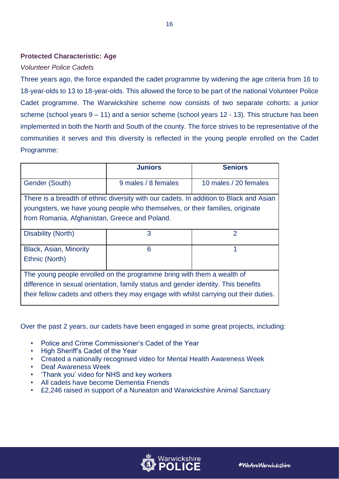## <span id="page-15-0"></span>**Protected Characteristic: Age**

## *Volunteer Police Cadets*

Three years ago, the force expanded the cadet programme by widening the age criteria from 16 to 18-year-olds to 13 to 18-year-olds. This allowed the force to be part of the national Volunteer Police Cadet programme. The Warwickshire scheme now consists of two separate cohorts: a junior scheme (school years 9 – 11) and a senior scheme (school years 12 - 13). This structure has been implemented in both the North and South of the county. The force strives to be representative of the communities it serves and this diversity is reflected in the young people enrolled on the Cadet Programme:

|                                                                                                                                                                                                                                                       | <b>Juniors</b>      | <b>Seniors</b>        |  |
|-------------------------------------------------------------------------------------------------------------------------------------------------------------------------------------------------------------------------------------------------------|---------------------|-----------------------|--|
| Gender (South)                                                                                                                                                                                                                                        | 9 males / 8 females | 10 males / 20 females |  |
| There is a breadth of ethnic diversity with our cadets. In addition to Black and Asian<br>youngsters, we have young people who themselves, or their families, originate<br>from Romania, Afghanistan, Greece and Poland.                              |                     |                       |  |
| Disability (North)                                                                                                                                                                                                                                    | 3                   | 2                     |  |
| Black, Asian, Minority<br>Ethnic (North)                                                                                                                                                                                                              | 6                   | 1                     |  |
| The young people enrolled on the programme bring with them a wealth of<br>difference in sexual orientation, family status and gender identity. This benefits<br>their fellow cadets and others they may engage with whilst carrying out their duties. |                     |                       |  |

Over the past 2 years, our cadets have been engaged in some great projects, including:

- Police and Crime Commissioner's Cadet of the Year
- High Sheriff's Cadet of the Year
- Created a nationally recognised video for Mental Health Awareness Week
- Deaf Awareness Week
- 'Thank you' video for NHS and key workers
- All cadets have become Dementia Friends
- £2,246 raised in support of a Nuneaton and Warwickshire Animal Sanctuary



16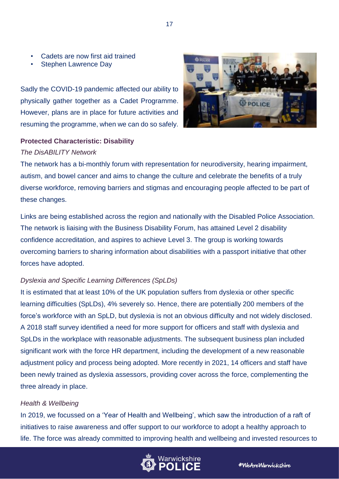- Cadets are now first aid trained
- Stephen Lawrence Day

Sadly the COVID-19 pandemic affected our ability to physically gather together as a Cadet Programme. However, plans are in place for future activities and resuming the programme, when we can do so safely.



## <span id="page-16-0"></span>**Protected Characteristic: Disability**

### *The DisABILITY Network*

The network has a bi-monthly forum with representation for neurodiversity, hearing impairment, autism, and bowel cancer and aims to change the culture and celebrate the benefits of a truly diverse workforce, removing barriers and stigmas and encouraging people affected to be part of these changes.

Links are being established across the region and nationally with the Disabled Police Association. The network is liaising with the Business Disability Forum, has attained Level 2 disability confidence accreditation, and aspires to achieve Level 3. The group is working towards overcoming barriers to sharing information about disabilities with a passport initiative that other forces have adopted.

## *Dyslexia and Specific Learning Differences (SpLDs)*

It is estimated that at least 10% of the UK population suffers from dyslexia or other specific learning difficulties (SpLDs), 4% severely so. Hence, there are potentially 200 members of the force's workforce with an SpLD, but dyslexia is not an obvious difficulty and not widely disclosed. A 2018 staff survey identified a need for more support for officers and staff with dyslexia and SpLDs in the workplace with reasonable adjustments. The subsequent business plan included significant work with the force HR department, including the development of a new reasonable adjustment policy and process being adopted. More recently in 2021, 14 officers and staff have been newly trained as dyslexia assessors, providing cover across the force, complementing the three already in place.

## *Health & Wellbeing*

In 2019, we focussed on a 'Year of Health and Wellbeing', which saw the introduction of a raft of initiatives to raise awareness and offer support to our workforce to adopt a healthy approach to life. The force was already committed to improving health and wellbeing and invested resources to

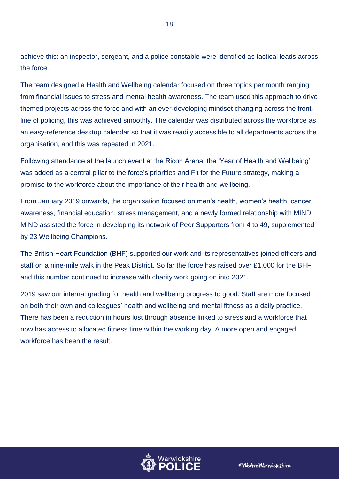achieve this: an inspector, sergeant, and a police constable were identified as tactical leads across the force.

The team designed a Health and Wellbeing calendar focused on three topics per month ranging from financial issues to stress and mental health awareness. The team used this approach to drive themed projects across the force and with an ever-developing mindset changing across the frontline of policing, this was achieved smoothly. The calendar was distributed across the workforce as an easy-reference desktop calendar so that it was readily accessible to all departments across the organisation, and this was repeated in 2021.

Following attendance at the launch event at the Ricoh Arena, the 'Year of Health and Wellbeing' was added as a central pillar to the force's priorities and Fit for the Future strategy, making a promise to the workforce about the importance of their health and wellbeing.

From January 2019 onwards, the organisation focused on men's health, women's health, cancer awareness, financial education, stress management, and a newly formed relationship with MIND. MIND assisted the force in developing its network of Peer Supporters from 4 to 49, supplemented by 23 Wellbeing Champions.

The British Heart Foundation (BHF) supported our work and its representatives joined officers and staff on a nine-mile walk in the Peak District. So far the force has raised over £1,000 for the BHF and this number continued to increase with charity work going on into 2021.

2019 saw our internal grading for health and wellbeing progress to good. Staff are more focused on both their own and colleagues' health and wellbeing and mental fitness as a daily practice. There has been a reduction in hours lost through absence linked to stress and a workforce that now has access to allocated fitness time within the working day. A more open and engaged workforce has been the result.

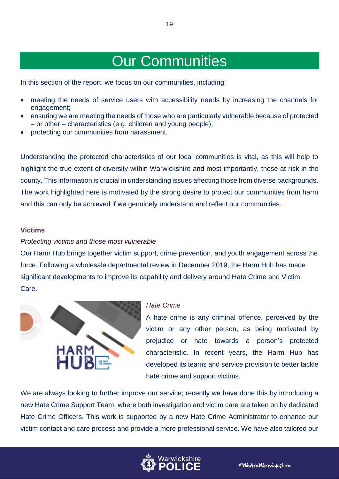## Our Communities

<span id="page-18-0"></span>In this section of the report, we focus on our communities, including:

- meeting the needs of service users with accessibility needs by increasing the channels for engagement;
- ensuring we are meeting the needs of those who are particularly vulnerable because of protected – or other – characteristics (e.g. children and young people);
- protecting our communities from harassment.

Understanding the protected characteristics of our local communities is vital, as this will help to highlight the true extent of diversity within Warwickshire and most importantly, those at risk in the county. This information is crucial in understanding issues affecting those from diverse backgrounds. The work highlighted here is motivated by the strong desire to protect our communities from harm and this can only be achieved if we genuinely understand and reflect our communities.

#### <span id="page-18-1"></span>**Victims**

#### *Protecting victims and those most vulnerable*

Our Harm Hub brings together victim support, crime prevention, and youth engagement across the force. Following a wholesale departmental review in December 2019, the Harm Hub has made significant developments to improve its capability and delivery around Hate Crime and Victim Care.



#### *Hate Crime*

A hate crime is any criminal offence, perceived by the victim or any other person, as being motivated by prejudice or hate towards a person's protected characteristic. In recent years, the Harm Hub has developed its teams and service provision to better tackle hate crime and support victims.

We are always looking to further improve our service; recently we have done this by introducing a new Hate Crime Support Team, where both investigation and victim care are taken on by dedicated Hate Crime Officers. This work is supported by a new Hate Crime Administrator to enhance our victim contact and care process and provide a more professional service. We have also tailored our

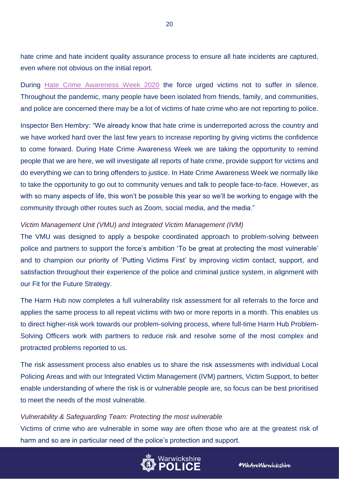hate crime and hate incident quality assurance process to ensure all hate incidents are captured, even where not obvious on the initial report.

During [Hate Crime Awareness Week 2020](https://www.warwickshire.police.uk/news/warwickshire/news/2020/october/hate-crime-awareness-week-2020-dont-suffer-in-silence/) the force urged victims not to suffer in silence. Throughout the pandemic, many people have been isolated from friends, family, and communities, and police are concerned there may be a lot of victims of hate crime who are not reporting to police.

Inspector Ben Hembry: "We already know that hate crime is underreported across the country and we have worked hard over the last few years to increase reporting by giving victims the confidence to come forward. During Hate Crime Awareness Week we are taking the opportunity to remind people that we are here, we will investigate all reports of hate crime, provide support for victims and do everything we can to bring offenders to justice. In Hate Crime Awareness Week we normally like to take the opportunity to go out to community venues and talk to people face-to-face. However, as with so many aspects of life, this won't be possible this year so we'll be working to engage with the community through other routes such as Zoom, social media, and the media."

### *Victim Management Unit (VMU) and Integrated Victim Management (IVM)*

The VMU was designed to apply a bespoke coordinated approach to problem-solving between police and partners to support the force's ambition 'To be great at protecting the most vulnerable' and to champion our priority of 'Putting Victims First' by improving victim contact, support, and satisfaction throughout their experience of the police and criminal justice system, in alignment with our Fit for the Future Strategy.

The Harm Hub now completes a full vulnerability risk assessment for all referrals to the force and applies the same process to all repeat victims with two or more reports in a month. This enables us to direct higher-risk work towards our problem-solving process, where full-time Harm Hub Problem-Solving Officers work with partners to reduce risk and resolve some of the most complex and protracted problems reported to us.

The risk assessment process also enables us to share the risk assessments with individual Local Policing Areas and with our Integrated Victim Management (IVM) partners, Victim Support, to better enable understanding of where the risk is or vulnerable people are, so focus can be best prioritised to meet the needs of the most vulnerable.

#### *Vulnerability & Safeguarding Team: Protecting the most vulnerable*

Victims of crime who are vulnerable in some way are often those who are at the greatest risk of harm and so are in particular need of the police's protection and support.

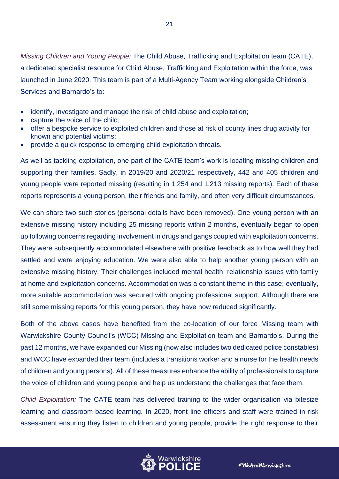*Missing Children and Young People:* The Child Abuse, Trafficking and Exploitation team (CATE), a dedicated specialist resource for Child Abuse, Trafficking and Exploitation within the force, was launched in June 2020. This team is part of a Multi-Agency Team working alongside Children's Services and Barnardo's to:

- identify, investigate and manage the risk of child abuse and exploitation;
- capture the voice of the child;
- offer a bespoke service to exploited children and those at risk of county lines drug activity for known and potential victims;
- provide a quick response to emerging child exploitation threats.

As well as tackling exploitation, one part of the CATE team's work is locating missing children and supporting their families. Sadly, in 2019/20 and 2020/21 respectively, 442 and 405 children and young people were reported missing (resulting in 1,254 and 1,213 missing reports). Each of these reports represents a young person, their friends and family, and often very difficult circumstances.

We can share two such stories (personal details have been removed). One young person with an extensive missing history including 25 missing reports within 2 months, eventually began to open up following concerns regarding involvement in drugs and gangs coupled with exploitation concerns. They were subsequently accommodated elsewhere with positive feedback as to how well they had settled and were enjoying education. We were also able to help another young person with an extensive missing history. Their challenges included mental health, relationship issues with family at home and exploitation concerns. Accommodation was a constant theme in this case; eventually, more suitable accommodation was secured with ongoing professional support. Although there are still some missing reports for this young person, they have now reduced significantly.

Both of the above cases have benefited from the co-location of our force Missing team with Warwickshire County Council's (WCC) Missing and Exploitation team and Barnardo's. During the past 12 months, we have expanded our Missing (now also includes two dedicated police constables) and WCC have expanded their team (includes a transitions worker and a nurse for the health needs of children and young persons). All of these measures enhance the ability of professionals to capture the voice of children and young people and help us understand the challenges that face them.

*Child Exploitation:* The CATE team has delivered training to the wider organisation via bitesize learning and classroom-based learning. In 2020, front line officers and staff were trained in risk assessment ensuring they listen to children and young people, provide the right response to their

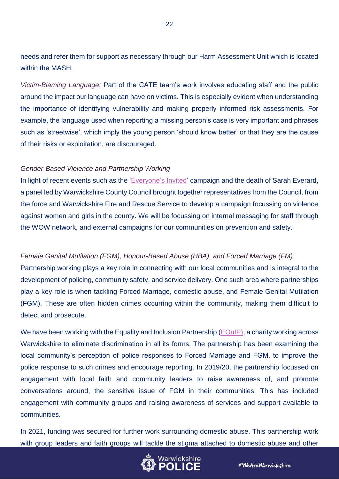needs and refer them for support as necessary through our Harm Assessment Unit which is located within the MASH.

*Victim-Blaming Language:* Part of the CATE team's work involves educating staff and the public around the impact our language can have on victims. This is especially evident when understanding the importance of identifying vulnerability and making properly informed risk assessments. For example, the language used when reporting a missing person's case is very important and phrases such as 'streetwise', which imply the young person 'should know better' or that they are the cause of their risks or exploitation, are discouraged.

#### *Gender-Based Violence and Partnership Working*

In light of recent events such as the ['Everyone's Invited'](https://www.everyonesinvited.uk/) campaign and the death of Sarah Everard, a panel led by Warwickshire County Council brought together representatives from the Council, from the force and Warwickshire Fire and Rescue Service to develop a campaign focussing on violence against women and girls in the county. We will be focussing on internal messaging for staff through the WOW network, and external campaigns for our communities on prevention and safety.

## *Female Genital Mutilation (FGM), Honour-Based Abuse (HBA), and Forced Marriage (FM)*

Partnership working plays a key role in connecting with our local communities and is integral to the development of policing, community safety, and service delivery. One such area where partnerships play a key role is when tackling Forced Marriage, domestic abuse, and Female Genital Mutilation (FGM). These are often hidden crimes occurring within the community, making them difficult to detect and prosecute.

We have been working with the Equality and Inclusion Partnership [\(EQuIP\)](https://www.equipequality.org.uk/), a charity working across Warwickshire to eliminate discrimination in all its forms. The partnership has been examining the local community's perception of police responses to Forced Marriage and FGM, to improve the police response to such crimes and encourage reporting. In 2019/20, the partnership focussed on engagement with local faith and community leaders to raise awareness of, and promote conversations around, the sensitive issue of FGM in their communities. This has included engagement with community groups and raising awareness of services and support available to communities.

In 2021, funding was secured for further work surrounding domestic abuse. This partnership work with group leaders and faith groups will tackle the stigma attached to domestic abuse and other

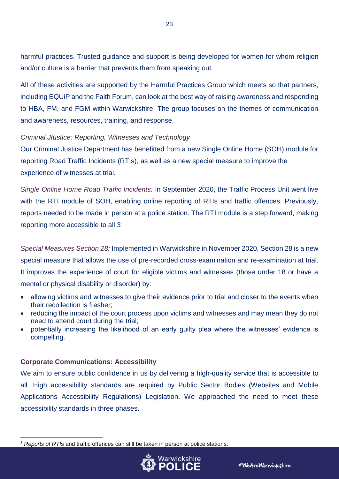harmful practices. Trusted guidance and support is being developed for women for whom religion and/or culture is a barrier that prevents them from speaking out.

All of these activities are supported by the Harmful Practices Group which meets so that partners, including EQUiP and the Faith Forum, can look at the best way of raising awareness and responding to HBA, FM, and FGM within Warwickshire. The group focuses on the themes of communication and awareness, resources, training, and response.

## *Criminal Jfustice: Reporting, Witnesses and Technology*

Our Criminal Justice Department has benefitted from a new Single Online Home (SOH) module for reporting Road Traffic Incidents (RTIs), as well as a new special measure to improve the experience of witnesses at trial.

*Single Online Home Road Traffic Incidents:* In September 2020, the Traffic Process Unit went live with the RTI module of SOH, enabling online reporting of RTIs and traffic offences. Previously, reports needed to be made in person at a police station. The RTI module is a step forward, making reporting more accessible to all.3

*Special Measures Section 28:* Implemented in Warwickshire in November 2020, Section 28 is a new special measure that allows the use of pre-recorded cross-examination and re-examination at trial. It improves the experience of court for eligible victims and witnesses (those under 18 or have a mental or physical disability or disorder) by:

- allowing victims and witnesses to give their evidence prior to trial and closer to the events when their recollection is fresher;
- reducing the impact of the court process upon victims and witnesses and may mean they do not need to attend court during the trial;
- potentially increasing the likelihood of an early guilty plea where the witnesses' evidence is compelling.

## <span id="page-22-0"></span>**Corporate Communications: Accessibility**

We aim to ensure public confidence in us by delivering a high-quality service that is accessible to all. High accessibility standards are required by Public Sector Bodies (Websites and Mobile Applications Accessibility Regulations) Legislation. We approached the need to meet these accessibility standards in three phases.

 $\overline{a}$ <sup>3</sup> *Reports of RTI*s and traffic offences can still be taken in person at police stations.

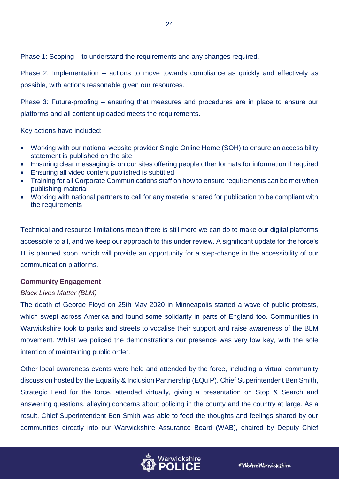Phase 1: Scoping – to understand the requirements and any changes required.

Phase 2: Implementation – actions to move towards compliance as quickly and effectively as possible, with actions reasonable given our resources.

24

Phase 3: Future-proofing – ensuring that measures and procedures are in place to ensure our platforms and all content uploaded meets the requirements.

Key actions have included:

- Working with our national website provider Single Online Home (SOH) to ensure an accessibility statement is published on the site
- Ensuring clear messaging is on our sites offering people other formats for information if required
- Ensuring all video content published is subtitled
- Training for all Corporate Communications staff on how to ensure requirements can be met when publishing material
- Working with national partners to call for any material shared for publication to be compliant with the requirements

Technical and resource limitations mean there is still more we can do to make our digital platforms accessible to all, and we keep our approach to this under review. A significant update for the force's IT is planned soon, which will provide an opportunity for a step-change in the accessibility of our communication platforms.

## <span id="page-23-0"></span>**Community Engagement**

## *Black Lives Matter (BLM)*

The death of George Floyd on 25th May 2020 in Minneapolis started a wave of public protests, which swept across America and found some solidarity in parts of England too. Communities in Warwickshire took to parks and streets to vocalise their support and raise awareness of the BLM movement. Whilst we policed the demonstrations our presence was very low key, with the sole intention of maintaining public order.

Other local awareness events were held and attended by the force, including a virtual community discussion hosted by the Equality & Inclusion Partnership (EQuIP). Chief Superintendent Ben Smith, Strategic Lead for the force, attended virtually, giving a presentation on Stop & Search and answering questions, allaying concerns about policing in the county and the country at large. As a result, Chief Superintendent Ben Smith was able to feed the thoughts and feelings shared by our communities directly into our Warwickshire Assurance Board (WAB), chaired by Deputy Chief

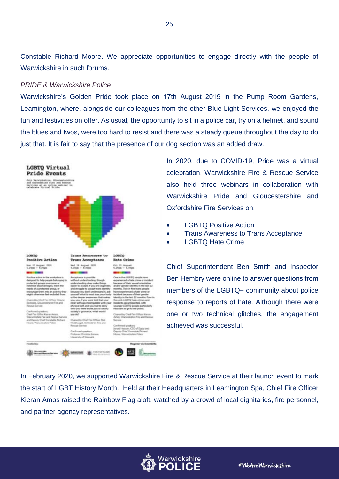Constable Richard Moore. We appreciate opportunities to engage directly with the people of Warwickshire in such forums.

#### *PRIDE & Warwickshire Police*

Warwickshire's Golden Pride took place on 17th August 2019 in the Pump Room Gardens, Leamington, where, alongside our colleagues from the other Blue Light Services, we enjoyed the fun and festivities on offer. As usual, the opportunity to sit in a police car, try on a helmet, and sound the blues and twos, were too hard to resist and there was a steady queue throughout the day to do just that. It is fair to say that the presence of our dog section was an added draw.



In 2020, due to COVID-19, Pride was a virtual celebration. Warwickshire Fire & Rescue Service also held three webinars in collaboration with Warwickshire Pride and Gloucestershire and Oxfordshire Fire Services on:

- LGBTQ Positive Action
- Trans Awareness to Trans Acceptance
- LGBTQ Hate Crime

Chief Superintendent Ben Smith and Inspector Ben Hembry were online to answer questions from members of the LGBTQ+ community about police response to reports of hate. Although there were one or two technical glitches, the engagement achieved was successful.

In February 2020, we supported Warwickshire Fire & Rescue Service at their launch event to mark the start of LGBT History Month. Held at their Headquarters in Leamington Spa, Chief Fire Officer Kieran Amos raised the Rainbow Flag aloft, watched by a crowd of local dignitaries, fire personnel, and partner agency representatives.

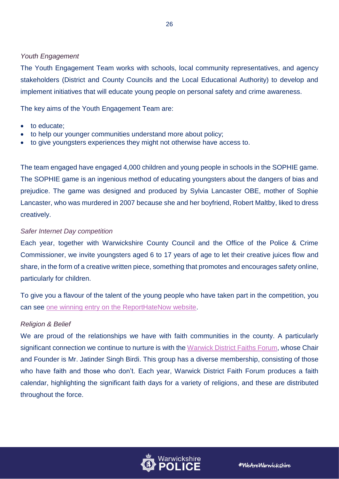### *Youth Engagement*

The Youth Engagement Team works with schools, local community representatives, and agency stakeholders (District and County Councils and the Local Educational Authority) to develop and implement initiatives that will educate young people on personal safety and crime awareness.

The key aims of the Youth Engagement Team are:

- to educate;
- to help our younger communities understand more about policy;
- to give youngsters experiences they might not otherwise have access to.

The team engaged have engaged 4,000 children and young people in schools in the SOPHIE game. The SOPHIE game is an ingenious method of educating youngsters about the dangers of bias and prejudice. The game was designed and produced by Sylvia Lancaster OBE, mother of Sophie Lancaster, who was murdered in 2007 because she and her boyfriend, Robert Maltby, liked to dress creatively.

### *Safer Internet Day competition*

Each year, together with Warwickshire County Council and the Office of the Police & Crime Commissioner, we invite youngsters aged 6 to 17 years of age to let their creative juices flow and share, in the form of a creative written piece, something that promotes and encourages safety online, particularly for children.

To give you a flavour of the talent of the young people who have taken part in the competition, you can see [one winning entry on the ReportHateNow website.](https://www.reporthatenow.com/news-and-events/winners-of-safer-internet-day-creative-writing-competition-awarded-prizes)

#### *Religion & Belief*

We are proud of the relationships we have with faith communities in the county. A particularly significant connection we continue to nurture is with the [Warwick District Faiths Forum,](http://www.wdfaithsforum.org.uk/) whose Chair and Founder is Mr. Jatinder Singh Birdi. This group has a diverse membership, consisting of those who have faith and those who don't. Each year, Warwick District Faith Forum produces a faith calendar, highlighting the significant faith days for a variety of religions, and these are distributed throughout the force.

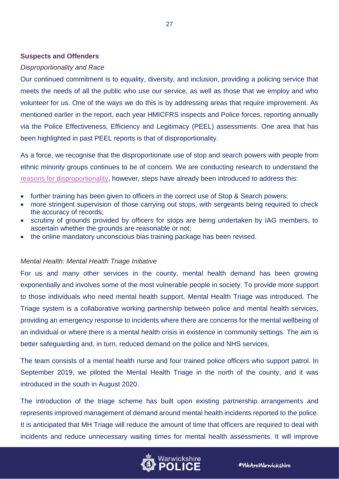### <span id="page-26-0"></span>**Suspects and Offenders**

#### *Disproportionality and Race*

Our continued commitment is to equality, diversity, and inclusion, providing a policing service that meets the needs of all the public who use our service, as well as those that we employ and who volunteer for us. One of the ways we do this is by addressing areas that require improvement. As mentioned earlier in the report, each year HMICFRS inspects and Police forces, reporting annually via the Police Effectiveness, Efficiency and Legitimacy (PEEL) assessments. One area that has been highlighted in past PEEL reports is that of disproportionality.

As a force, we recognise that the disproportionate use of stop and search powers with people from ethnic minority groups continues to be of concern. We are conducting research to understand the [reasons for disproportionality,](https://www.warwickshire.police.uk/SysSiteAssets/media/downloads/warwickshire/about-us/stop-search--use-of-force/warwickshire-stop-search-disproportionality-report.pdf) however, steps have already been introduced to address this:

- further training has been given to officers in the correct use of Stop & Search powers;
- more stringent supervision of those carrying out stops, with sergeants being required to check the accuracy of records;
- scrutiny of grounds provided by officers for stops are being undertaken by IAG members, to ascertain whether the grounds are reasonable or not;
- the online mandatory unconscious bias training package has been revised.

#### *Mental Health: Mental Health Triage Initiative*

For us and many other services in the county, mental health demand has been growing exponentially and involves some of the most vulnerable people in society. To provide more support to those individuals who need mental health support, Mental Health Triage was introduced. The Triage system is a collaborative working partnership between police and mental health services, providing an emergency response to incidents where there are concerns for the mental wellbeing of an individual or where there is a mental health crisis in existence in community settings. The aim is better safeguarding and, in turn, reduced demand on the police and NHS services.

The team consists of a mental health nurse and four trained police officers who support patrol. In September 2019, we piloted the Mental Health Triage in the north of the county, and it was introduced in the south in August 2020.

The introduction of the triage scheme has built upon existing partnership arrangements and represents improved management of demand around mental health incidents reported to the police. It is anticipated that MH Triage will reduce the amount of time that officers are required to deal with incidents and reduce unnecessary waiting times for mental health assessments. It will improve



#WeAreWarwickshire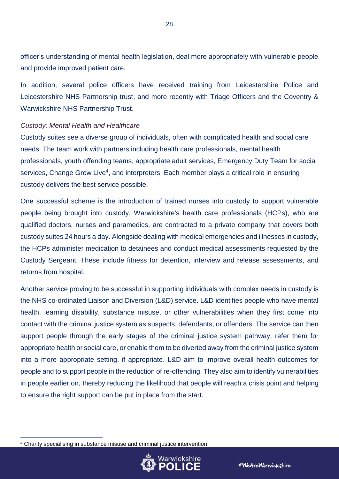officer's understanding of mental health legislation, deal more appropriately with vulnerable people and provide improved patient care.

In addition, several police officers have received training from Leicestershire Police and Leicestershire NHS Partnership trust, and more recently with Triage Officers and the Coventry & Warwickshire NHS Partnership Trust.

#### *Custody: Mental Health and Healthcare*

Custody suites see a diverse group of individuals, often with complicated health and social care needs. The team work with partners including health care professionals, mental health professionals, youth offending teams, appropriate adult services, Emergency Duty Team for social services, Change Grow Live<sup>4</sup>, and interpreters. Each member plays a critical role in ensuring custody delivers the best service possible.

One successful scheme is the introduction of trained nurses into custody to support vulnerable people being brought into custody. Warwickshire's health care professionals (HCPs), who are qualified doctors, nurses and paramedics, are contracted to a private company that covers both custody suites 24 hours a day. Alongside dealing with medical emergencies and illnesses in custody, the HCPs administer medication to detainees and conduct medical assessments requested by the Custody Sergeant. These include fitness for detention, interview and release assessments, and returns from hospital.

Another service proving to be successful in supporting individuals with complex needs in custody is the NHS co-ordinated Liaison and Diversion (L&D) service. L&D identifies people who have mental health, learning disability, substance misuse, or other vulnerabilities when they first come into contact with the criminal justice system as suspects, defendants, or offenders. The service can then support people through the early stages of the criminal justice system pathway, refer them for appropriate health or social care, or enable them to be diverted away from the criminal justice system into a more appropriate setting, if appropriate. L&D aim to improve overall health outcomes for people and to support people in the reduction of re-offending. They also aim to identify vulnerabilities in people earlier on, thereby reducing the likelihood that people will reach a crisis point and helping to ensure the right support can be put in place from the start.

 $\overline{a}$ 



<sup>4</sup> Charity specialising in substance misuse and criminal justice intervention.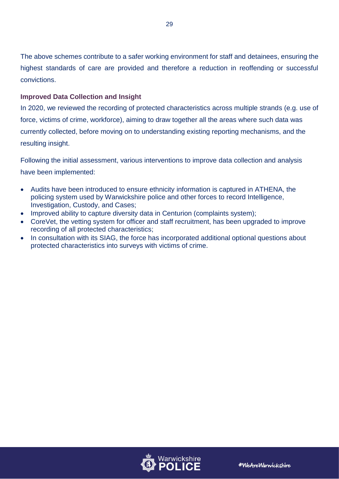The above schemes contribute to a safer working environment for staff and detainees, ensuring the highest standards of care are provided and therefore a reduction in reoffending or successful convictions.

## <span id="page-28-0"></span>**Improved Data Collection and Insight**

In 2020, we reviewed the recording of protected characteristics across multiple strands (e.g. use of force, victims of crime, workforce), aiming to draw together all the areas where such data was currently collected, before moving on to understanding existing reporting mechanisms, and the resulting insight.

Following the initial assessment, various interventions to improve data collection and analysis have been implemented:

- Audits have been introduced to ensure ethnicity information is captured in ATHENA, the policing system used by Warwickshire police and other forces to record Intelligence, Investigation, Custody, and Cases;
- Improved ability to capture diversity data in Centurion (complaints system);
- CoreVet, the vetting system for officer and staff recruitment, has been upgraded to improve recording of all protected characteristics;
- In consultation with its SIAG, the force has incorporated additional optional questions about protected characteristics into surveys with victims of crime.